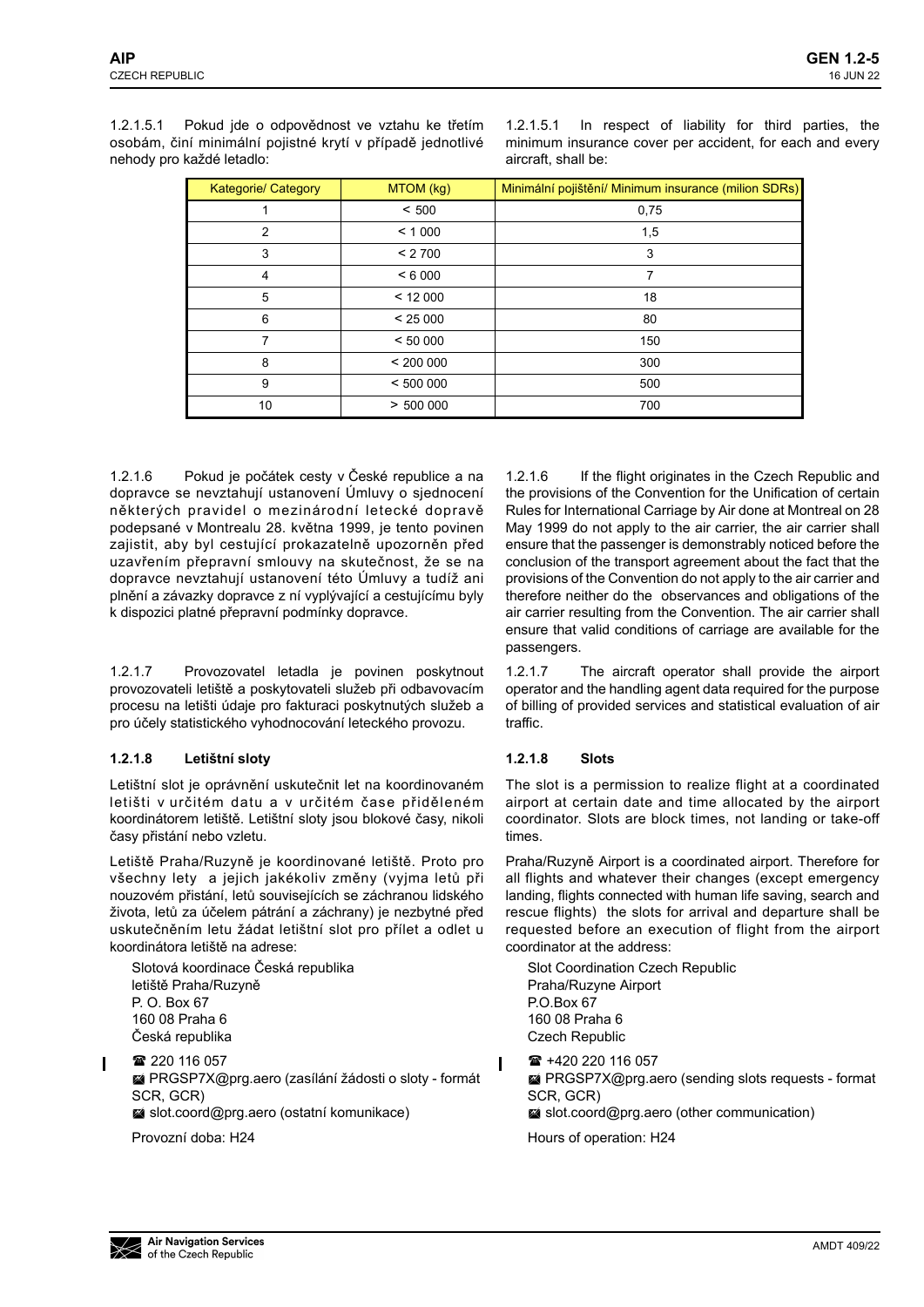1.2.1.5.1 Pokud jde o odpovědnost ve vztahu ke třetím osobám, činí minimální pojistné krytí v případě jednotlivé nehody pro každé letadlo:

1.2.1.5.1 In respect of liability for third parties, the minimum insurance cover per accident, for each and every aircraft, shall be:

| <b>Kategorie/ Category</b> | MTOM (kg) | Minimální pojištění/ Minimum insurance (milion SDRs) |  |
|----------------------------|-----------|------------------------------------------------------|--|
|                            | < 500     | 0,75                                                 |  |
| 2                          | < 1000    | 1,5                                                  |  |
| 3                          | < 2700    | 3                                                    |  |
| 4                          | < 6000    |                                                      |  |
| 5                          | < 12000   | 18                                                   |  |
| 6                          | < 25000   | 80                                                   |  |
| 7                          | < 50000   | 150                                                  |  |
| 8                          | < 200000  | 300                                                  |  |
| 9                          | < 500000  | 500                                                  |  |
| 10                         | > 500000  | 700                                                  |  |

1.2.1.6 Pokud je počátek cesty v České republice a na dopravce se nevztahují ustanovení Úmluvy o sjednocení některých pravidel o mezinárodní letecké dopravě podepsané v Montrealu 28. května 1999, je tento povinen zajistit, aby byl cestující prokazatelně upozorněn před uzavřením přepravní smlouvy na skutečnost, že se na dopravce nevztahují ustanovení této Úmluvy a tudíž ani plnění a závazky dopravce z ní vyplývající a cestujícímu byly k dispozici platné přepravní podmínky dopravce.

1.2.1.7 Provozovatel letadla je povinen poskytnout provozovateli letiště a poskytovateli služeb při odbavovacím procesu na letišti údaje pro fakturaci poskytnutých služeb a pro účely statistického vyhodnocování leteckého provozu.

# <span id="page-0-0"></span>**1.2.1.8 Letištní sloty**

Letištní slot je oprávnění uskutečnit let na koordinovaném letišti v určitém datu a v určitém čase přiděleném koordinátorem letiště. Letištní sloty jsou blokové časy, nikoli časy přistání nebo vzletu.

Letiště Praha/Ruzyně je koordinované letiště. Proto pro všechny lety a jejich jakékoliv změny (vyjma letů při nouzovém přistání, letů souvisejících se záchranou lidského života, letů za účelem pátrání a záchrany) je nezbytné před uskutečněním letu žádat letištní slot pro přílet a odlet u koordinátora letiště na adrese:

Slotová koordinace Česká republika letiště Praha/Ruzyně P. O. Box 67 160 08 Praha 6 Česká republika

■ 220 116 057 PRGSP7X@prg.aero (zasílání žádosti o sloty - formát SCR, GCR)

slot.coord@prg.aero (ostatní komunikace)

Provozní doba: H24

1.2.1.6 If the flight originates in the Czech Republic and the provisions of the Convention for the Unification of certain Rules for International Carriage by Air done at Montreal on 28 May 1999 do not apply to the air carrier, the air carrier shall ensure that the passenger is demonstrably noticed before the conclusion of the transport agreement about the fact that the provisions of the Convention do not apply to the air carrier and therefore neither do the observances and obligations of the air carrier resulting from the Convention. The air carrier shall ensure that valid conditions of carriage are available for the passengers.

1.2.1.7 The aircraft operator shall provide the airport operator and the handling agent data required for the purpose of billing of provided services and statistical evaluation of air traffic.

# <span id="page-0-1"></span>**1.2.1.8 Slots**

The slot is a permission to realize flight at a coordinated airport at certain date and time allocated by the airport coordinator. Slots are block times, not landing or take-off times.

Praha/Ruzyně Airport is a coordinated airport. Therefore for all flights and whatever their changes (except emergency landing, flights connected with human life saving, search and rescue flights) the slots for arrival and departure shall be requested before an execution of flight from the airport coordinator at the address:

Slot Coordination Czech Republic Praha/Ruzyne Airport P.O.Box 67 160 08 Praha 6 Czech Republic

 +420 220 116 057 ■ PRGSP7X@prg.aero (sending slots requests - format SCR, GCR) slot.coord@prg.aero (other communication)

Hours of operation: H24

Ī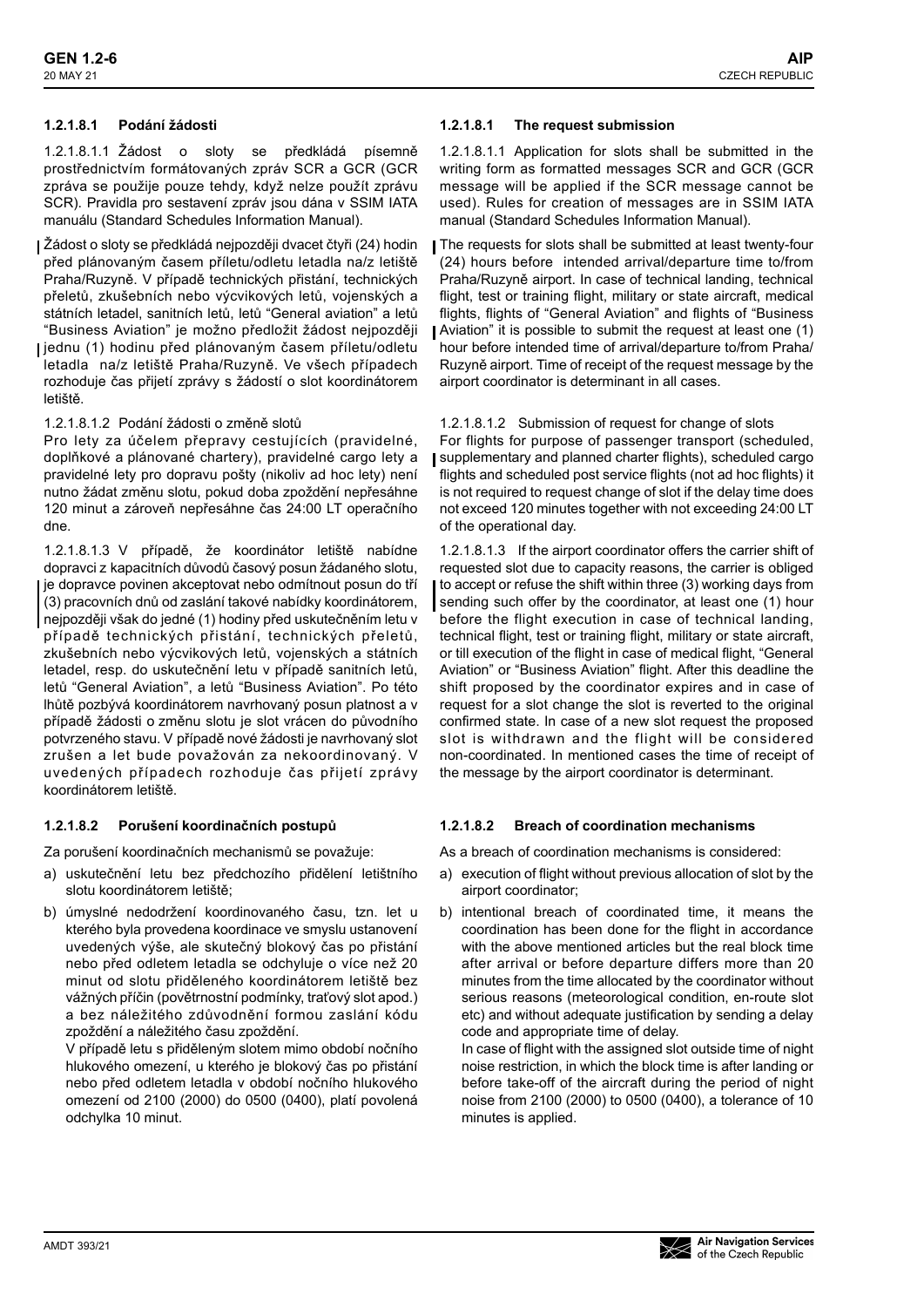### **1.2.1.8.1 Podání žádosti**

1.2.1.8.1.1 Žádost o sloty se předkládá písemně prostřednictvím formátovaných zpráv SCR a GCR (GCR zpráva se použije pouze tehdy, když nelze použít zprávu SCR). Pravidla pro sestavení zpráv jsou dána v SSIM IATA manuálu (Standard Schedules Information Manual).

- Žádost o sloty se předkládá nejpozději dvacet čtyři (24) hodin před plánovaným časem příletu/odletu letadla na/z letiště Praha/Ruzyně. V případě technických přistání, technických přeletů, zkušebních nebo výcvikových letů, vojenských a státních letadel, sanitních letů, letů "General aviation" a letů "Business Aviation" je možno předložit žádost nejpozději
- jednu (1) hodinu před plánovaným časem příletu/odletu letadla na/z letiště Praha/Ruzyně. Ve všech případech rozhoduje čas přijetí zprávy s žádostí o slot koordinátorem letiště.

1.2.1.8.1.2 Podání žádosti o změně slotů

Pro lety za účelem přepravy cestujících (pravidelné, doplňkové a plánované chartery), pravidelné cargo lety a pravidelné lety pro dopravu pošty (nikoliv ad hoc lety) není nutno žádat změnu slotu, pokud doba zpoždění nepřesáhne 120 minut a zároveň nepřesáhne čas 24:00 LT operačního dne.

1.2.1.8.1.3 V případě, že koordinátor letiště nabídne dopravci z kapacitních důvodů časový posun žádaného slotu, je dopravce povinen akceptovat nebo odmítnout posun do tří (3) pracovních dnů od zaslání takové nabídky koordinátorem, nejpozději však do jedné (1) hodiny před uskutečněním letu v případě technických přistání, technických přeletů, zkušebních nebo výcvikových letů, vojenských a státních letadel, resp. do uskutečnění letu v případě sanitních letů, letů "General Aviation", a letů "Business Aviation". Po této lhůtě pozbývá koordinátorem navrhovaný posun platnost a v případě žádosti o změnu slotu je slot vrácen do původního potvrzeného stavu. V případě nové žádosti je navrhovaný slot zrušen a let bude považován za nekoordinovaný. V uvedených případech rozhoduje čas přijetí zprávy koordinátorem letiště.

#### **1.2.1.8.2 Porušení koordinačních postupů**

Za porušení koordinačních mechanismů se považuje:

- a) uskutečnění letu bez předchozího přidělení letištního slotu koordinátorem letiště;
- b) úmyslné nedodržení koordinovaného času, tzn. let u kterého byla provedena koordinace ve smyslu ustanovení uvedených výše, ale skutečný blokový čas po přistání nebo před odletem letadla se odchyluje o více než 20 minut od slotu přiděleného koordinátorem letiště bez vážných příčin (povětrnostní podmínky, traťový slot apod.) a bez náležitého zdůvodnění formou zaslání kódu zpoždění a náležitého času zpoždění.

V případě letu s přiděleným slotem mimo období nočního hlukového omezení, u kterého je blokový čas po přistání nebo před odletem letadla v období nočního hlukového omezení od 2100 (2000) do 0500 (0400), platí povolená odchylka 10 minut.

#### **1.2.1.8.1 The request submission**

1.2.1.8.1.1 Application for slots shall be submitted in the writing form as formatted messages SCR and GCR (GCR message will be applied if the SCR message cannot be used). Rules for creation of messages are in SSIM IATA manual (Standard Schedules Information Manual).

The requests for slots shall be submitted at least twenty-four (24) hours before intended arrival/departure time to/from Praha/Ruzyně airport. In case of technical landing, technical flight, test or training flight, military or state aircraft, medical flights, flights of "General Aviation" and flights of "Business Aviation" it is possible to submit the request at least one (1) hour before intended time of arrival/departure to/from Praha/ Ruzyně airport. Time of receipt of the request message by the airport coordinator is determinant in all cases.

#### 1.2.1.8.1.2 Submission of request for change of slots

For flights for purpose of passenger transport (scheduled, I supplementary and planned charter flights), scheduled cargo flights and scheduled post service flights (not ad hoc flights) it is not required to request change of slot if the delay time does not exceed 120 minutes together with not exceeding 24:00 LT of the operational day.

1.2.1.8.1.3 If the airport coordinator offers the carrier shift of requested slot due to capacity reasons, the carrier is obliged to accept or refuse the shift within three (3) working days from sending such offer by the coordinator, at least one (1) hour before the flight execution in case of technical landing, technical flight, test or training flight, military or state aircraft, or till execution of the flight in case of medical flight, "General Aviation" or "Business Aviation" flight. After this deadline the shift proposed by the coordinator expires and in case of request for a slot change the slot is reverted to the original confirmed state. In case of a new slot request the proposed slot is withdrawn and the flight will be considered non-coordinated. In mentioned cases the time of receipt of the message by the airport coordinator is determinant.

#### **1.2.1.8.2 Breach of coordination mechanisms**

As a breach of coordination mechanisms is considered:

- a) execution of flight without previous allocation of slot by the airport coordinator;
- b) intentional breach of coordinated time, it means the coordination has been done for the flight in accordance with the above mentioned articles but the real block time after arrival or before departure differs more than 20 minutes from the time allocated by the coordinator without serious reasons (meteorological condition, en-route slot etc) and without adequate justification by sending a delay code and appropriate time of delay.

In case of flight with the assigned slot outside time of night noise restriction, in which the block time is after landing or before take-off of the aircraft during the period of night noise from 2100 (2000) to 0500 (0400), a tolerance of 10 minutes is applied.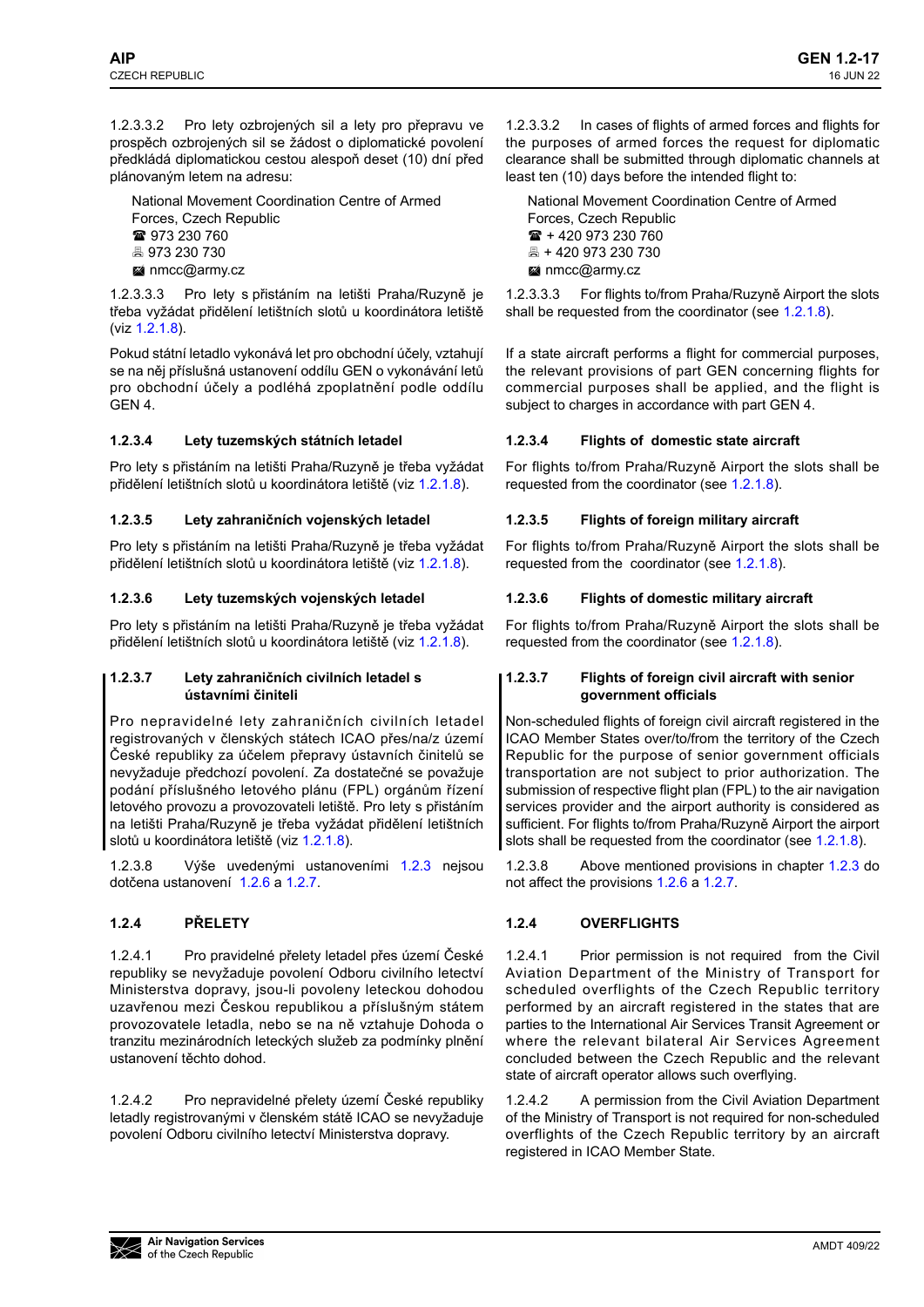1.2.3.3.2 Pro lety ozbrojených sil a lety pro přepravu ve prospěch ozbrojených sil se žádost o diplomatické povolení předkládá diplomatickou cestou alespoň deset (10) dní před plánovaným letem na adresu:

National Movement Coordination Centre of Armed

- Forces, Czech Republic
- 973 230 760
- 973 230 730
- **M** nmcc@army.cz

1.2.3.3.3 Pro lety s přistáním na letišti Praha/Ruzyně je třeba vyžádat přidělení letištních slotů u koordinátora letiště (viz 1.2.1.8).

Pokud státní letadlo vykonává let pro obchodní účely, vztahují se na něj příslušná ustanovení oddílu GEN o vykonávání letů pro obchodní účely a podléhá zpoplatnění podle oddílu GEN 4.

### **1.2.3.4 Lety tuzemských státních letadel**

Pro lety s přistáním na letišti Praha/Ruzyně je třeba vyžádat přidělení letištních slotů u koordinátora letiště (viz 1.2.1.8).

### **1.2.3.5 Lety zahraničních vojenských letadel**

Pro lety s přistáním na letišti Praha/Ruzyně je třeba vyžádat přidělení letištních slotů u koordinátora letiště (viz 1.2.1.8).

### **1.2.3.6 Lety tuzemských vojenských letadel**

Pro lety s přistáním na letišti Praha/Ruzyně je třeba vyžádat přidělení letištních slotů u koordinátora letiště (viz 1.2.1.8).

### **1.2.3.7 Lety zahraničních civilních letadel s ústavními činiteli**

Pro nepravidelné lety zahraničních civilních letadel registrovaných v členských státech ICAO přes/na/z území České republiky za účelem přepravy ústavních činitelů se nevyžaduje předchozí povolení. Za dostatečné se považuje podání příslušného letového plánu (FPL) orgánům řízení letového provozu a provozovateli letiště. Pro lety s přistáním na letišti Praha/Ruzyně je třeba vyžádat přidělení letištních slotů u koordinátora letiště (viz [1.2.1.8](#page-0-0)).

1.2.3.8 Výše uvedenými ustanoveními 1.2.3 nejsou dotčena ustanovení 1.2.6 a 1.2.7.

# **1.2.4 PŘELETY**

1.2.4.1 Pro pravidelné přelety letadel přes území České republiky se nevyžaduje povolení Odboru civilního letectví Ministerstva dopravy, jsou-li povoleny leteckou dohodou uzavřenou mezi Českou republikou a příslušným státem provozovatele letadla, nebo se na ně vztahuje Dohoda o tranzitu mezinárodních leteckých služeb za podmínky plnění ustanovení těchto dohod.

1.2.4.2 Pro nepravidelné přelety území České republiky letadly registrovanými v členském státě ICAO se nevyžaduje povolení Odboru civilního letectví Ministerstva dopravy.

1.2.3.3.2 In cases of flights of armed forces and flights for the purposes of armed forces the request for diplomatic clearance shall be submitted through diplomatic channels at least ten (10) days before the intended flight to:

National Movement Coordination Centre of Armed Forces, Czech Republic  $\mathbf{R}$  + 420 973 230 760 + 420 973 230 730 **M** nmcc@army.cz

1.2.3.3.3 For flights to/from Praha/Ruzyně Airport the slots shall be requested from the coordinator (see 1.2.1.8).

If a state aircraft performs a flight for commercial purposes, the relevant provisions of part GEN concerning flights for commercial purposes shall be applied, and the flight is subject to charges in accordance with part GEN 4.

### **1.2.3.4 Flights of domestic state aircraft**

For flights to/from Praha/Ruzyně Airport the slots shall be requested from the coordinator (see 1.2.1.8).

### **1.2.3.5 Flights of foreign military aircraft**

For flights to/from Praha/Ruzyně Airport the slots shall be requested from the coordinator (see 1.2.1.8).

### **1.2.3.6 Flights of domestic military aircraft**

For flights to/from Praha/Ruzyně Airport the slots shall be requested from the coordinator (see 1.2.1.8).

### **1.2.3.7 Flights of foreign civil aircraft with senior government officials**

Non-scheduled flights of foreign civil aircraft registered in the ICAO Member States over/to/from the territory of the Czech Republic for the purpose of senior government officials transportation are not subject to prior authorization. The submission of respective flight plan (FPL) to the air navigation services provider and the airport authority is considered as sufficient. For flights to/from Praha/Ruzyně Airport the airport slots shall be requested from the coordinator (see [1.2.1.8](#page-0-1)).

1.2.3.8 Above mentioned provisions in chapter 1.2.3 do not affect the provisions 1.2.6 a 1.2.7.

# **1.2.4 OVERFLIGHTS**

1.2.4.1 Prior permission is not required from the Civil Aviation Department of the Ministry of Transport for scheduled overflights of the Czech Republic territory performed by an aircraft registered in the states that are parties to the International Air Services Transit Agreement or where the relevant bilateral Air Services Agreement concluded between the Czech Republic and the relevant state of aircraft operator allows such overflying.

1.2.4.2 A permission from the Civil Aviation Department of the Ministry of Transport is not required for non-scheduled overflights of the Czech Republic territory by an aircraft registered in ICAO Member State.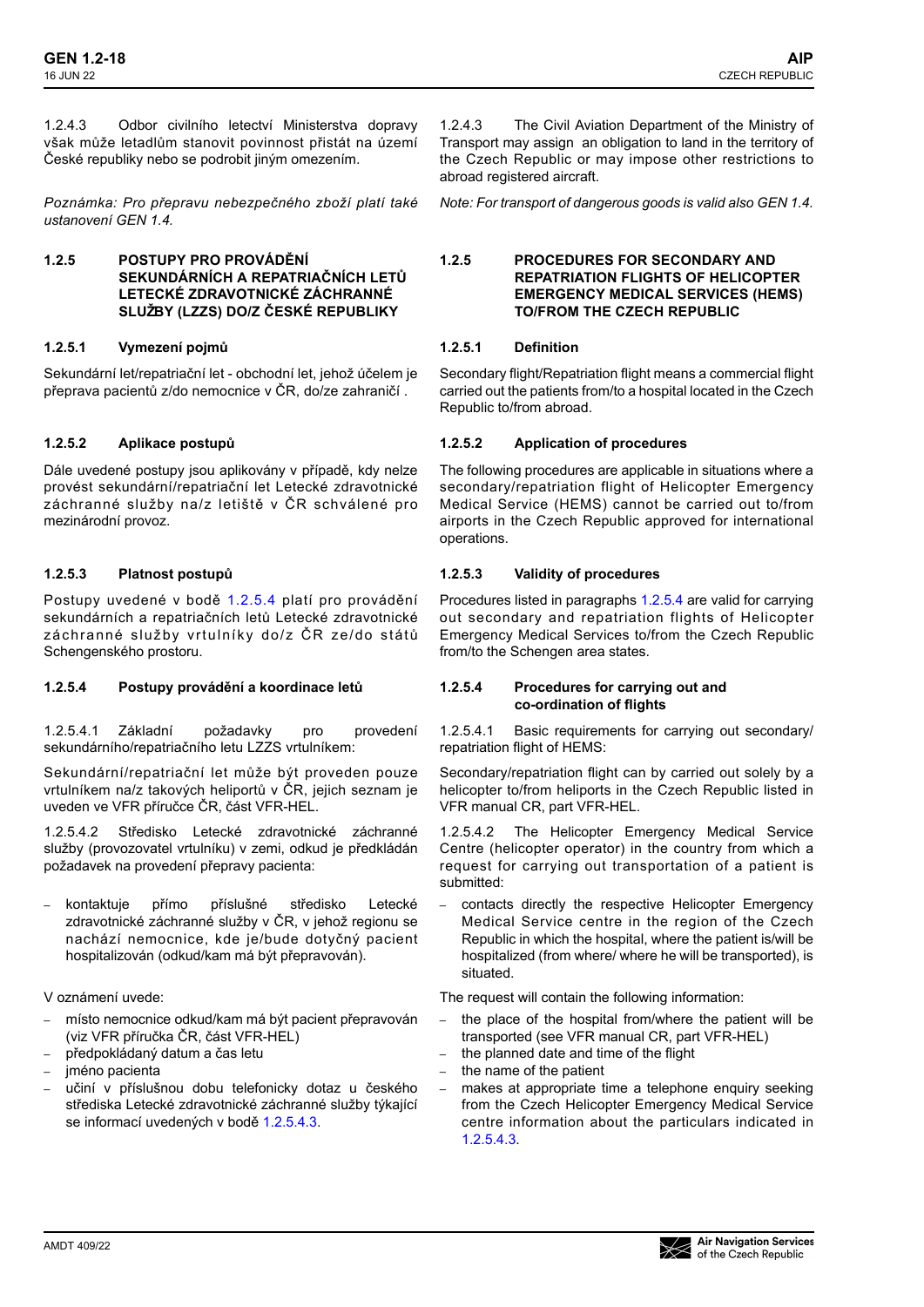1.2.4.3 Odbor civilního letectví Ministerstva dopravy však může letadlům stanovit povinnost přistát na území České republiky nebo se podrobit jiným omezením.

*Poznámka: Pro přepravu nebezpečného zboží platí také ustanovení GEN 1.4.*

### **1.2.5 POSTUPY PRO PROVÁDĚNÍ SEKUNDÁRNÍCH A REPATRIAČNÍCH LETŮ LETECKÉ ZDRAVOTNICKÉ ZÁCHRANNÉ SLUŽBY (LZZS) DO/Z ČESKÉ REPUBLIKY**

### **1.2.5.1 Vymezení pojmů**

Sekundární let/repatriační let - obchodní let, jehož účelem je přeprava pacientů z/do nemocnice v ČR, do/ze zahraničí .

### **1.2.5.2 Aplikace postupů**

Dále uvedené postupy jsou aplikovány v případě, kdy nelze provést sekundární/repatriační let Letecké zdravotnické záchranné služby na/z letiště v ČR schválené pro mezinárodní provoz.

### **1.2.5.3 Platnost postupů**

Postupy uvedené v bodě 1.2.5.4 platí pro provádění sekundárních a repatriačních letů Letecké zdravotnické záchranné služby vrtulníky do/z ČR ze/do států Schengenského prostoru.

### **1.2.5.4 Postupy provádění a koordinace letů**

1.2.5.4.1 Základní požadavky pro provedení sekundárního/repatriačního letu LZZS vrtulníkem:

Sekundární/repatriační let může být proveden pouze vrtulníkem na/z takových heliportů v ČR, jejich seznam je uveden ve VFR příručce ČR, část VFR-HEL.

1.2.5.4.2 Středisko Letecké zdravotnické záchranné služby (provozovatel vrtulníku) v zemi, odkud je předkládán požadavek na provedení přepravy pacienta:

**–** kontaktuje přímo příslušné středisko Letecké zdravotnické záchranné služby v ČR, v jehož regionu se nachází nemocnice, kde je/bude dotyčný pacient hospitalizován (odkud/kam má být přepravován).

V oznámení uvede:

- **–** místo nemocnice odkud/kam má být pacient přepravován (viz VFR příručka ČR, část VFR-HEL)
- **–** předpokládaný datum a čas letu
- **–** jméno pacienta
- **–** učiní v příslušnou dobu telefonicky dotaz u českého střediska Letecké zdravotnické záchranné služby týkající se informací uvedených v bodě 1.2.5.4.3.

1.2.4.3 The Civil Aviation Department of the Ministry of Transport may assign an obligation to land in the territory of the Czech Republic or may impose other restrictions to abroad registered aircraft.

*Note: For transport of dangerous goods is valid also GEN 1.4.*

### **1.2.5 PROCEDURES FOR SECONDARY AND REPATRIATION FLIGHTS OF HELICOPTER EMERGENCY MEDICAL SERVICES (HEMS) TO/FROM THE CZECH REPUBLIC**

# **1.2.5.1 Definition**

Secondary flight/Repatriation flight means a commercial flight carried out the patients from/to a hospital located in the Czech Republic to/from abroad.

# **1.2.5.2 Application of procedures**

The following procedures are applicable in situations where a secondary/repatriation flight of Helicopter Emergency Medical Service (HEMS) cannot be carried out to/from airports in the Czech Republic approved for international operations.

### **1.2.5.3 Validity of procedures**

Procedures listed in paragraphs 1.2.5.4 are valid for carrying out secondary and repatriation flights of Helicopter Emergency Medical Services to/from the Czech Republic from/to the Schengen area states.

#### **1.2.5.4 Procedures for carrying out and co-ordination of flights**

1.2.5.4.1 Basic requirements for carrying out secondary/ repatriation flight of HEMS:

Secondary/repatriation flight can by carried out solely by a helicopter to/from heliports in the Czech Republic listed in VFR manual CR, part VFR-HEL.

1.2.5.4.2 The Helicopter Emergency Medical Service Centre (helicopter operator) in the country from which a request for carrying out transportation of a patient is submitted:

**–** contacts directly the respective Helicopter Emergency Medical Service centre in the region of the Czech Republic in which the hospital, where the patient is/will be hospitalized (from where/ where he will be transported), is situated.

The request will contain the following information:

- **–** the place of the hospital from/where the patient will be transported (see VFR manual CR, part VFR-HEL)
- **–** the planned date and time of the flight
- **–** the name of the patient
- **–** makes at appropriate time a telephone enquiry seeking from the Czech Helicopter Emergency Medical Service centre information about the particulars indicated in 1.2.5.4.3.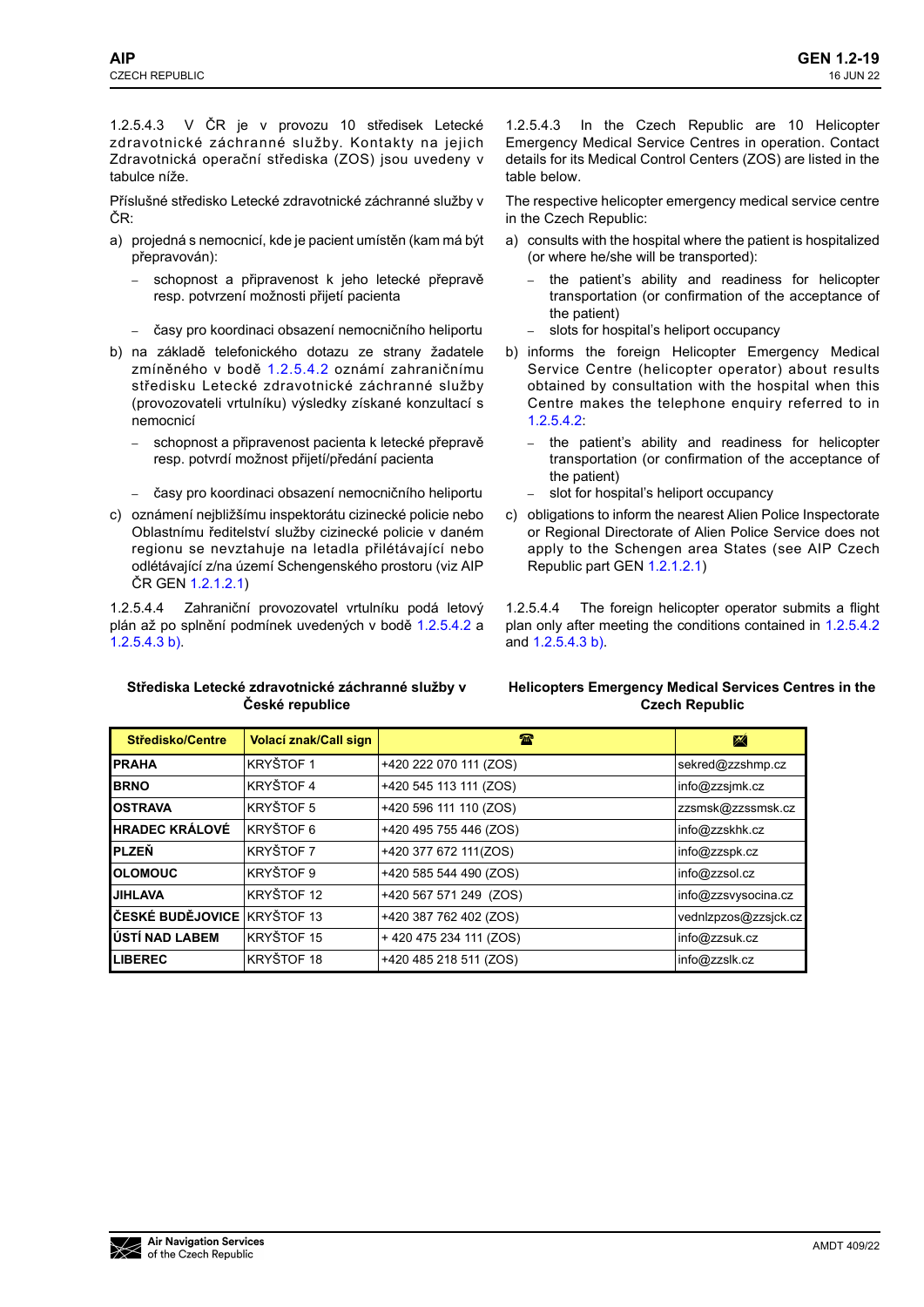1.2.5.4.3 V ČR je v provozu 10 středisek Letecké zdravotnické záchranné služby. Kontakty na jejich Zdravotnická operační střediska (ZOS) jsou uvedeny v tabulce níže.

Příslušné středisko Letecké zdravotnické záchranné služby v ČR:

- a) projedná s nemocnicí, kde je pacient umístěn (kam má být přepravován):
	- **–** schopnost a připravenost k jeho letecké přepravě resp. potvrzení možnosti přijetí pacienta
	- **–** časy pro koordinaci obsazení nemocničního heliportu
- b) na základě telefonického dotazu ze strany žadatele zmíněného v bodě 1.2.5.4.2 oznámí zahraničnímu středisku Letecké zdravotnické záchranné služby (provozovateli vrtulníku) výsledky získané konzultací s nemocnicí
	- **–** schopnost a připravenost pacienta k letecké přepravě resp. potvrdí možnost přijetí/předání pacienta
	- **–** časy pro koordinaci obsazení nemocničního heliportu
- c) oznámení nejbližšímu inspektorátu cizinecké policie nebo Oblastnímu ředitelství služby cizinecké policie v daném regionu se nevztahuje na letadla přilétávající nebo odlétávající z/na území Schengenského prostoru (viz AIP ČR GEN 1.2.1.2.1)

1.2.5.4.4 Zahraniční provozovatel vrtulníku podá letový plán až po splnění podmínek uvedených v bodě 1.2.5.4.2 a 1.2.5.4.3 b).

**Střediska Letecké zdravotnické záchranné služby v České republice** 

1.2.5.4.3 In the Czech Republic are 10 Helicopter Emergency Medical Service Centres in operation. Contact details for its Medical Control Centers (ZOS) are listed in the table below.

The respective helicopter emergency medical service centre in the Czech Republic:

- a) consults with the hospital where the patient is hospitalized (or where he/she will be transported):
	- **–** the patient's ability and readiness for helicopter transportation (or confirmation of the acceptance of the patient)
	- **–** slots for hospital's heliport occupancy
- b) informs the foreign Helicopter Emergency Medical Service Centre (helicopter operator) about results obtained by consultation with the hospital when this Centre makes the telephone enquiry referred to in 1.2.5.4.2:
	- **–** the patient's ability and readiness for helicopter transportation (or confirmation of the acceptance of the patient)
	- **–** slot for hospital's heliport occupancy
- c) obligations to inform the nearest Alien Police Inspectorate or Regional Directorate of Alien Police Service does not apply to the Schengen area States (see AIP Czech Republic part GEN 1.2.1.2.1)

1.2.5.4.4 The foreign helicopter operator submits a flight plan only after meeting the conditions contained in 1.2.5.4.2 and 1.2.5.4.3 b).

### **Helicopters Emergency Medical Services Centres in the Czech Republic**

| <b>Středisko/Centre</b>     | Volací znak/Call sign | TЕ                     | ₩                    |
|-----------------------------|-----------------------|------------------------|----------------------|
| <b>PRAHA</b>                | <b>KRYŠTOF 1</b>      | +420 222 070 111 (ZOS) | sekred@zzshmp.cz     |
| <b>BRNO</b>                 | <b>KRYŠTOF 4</b>      | +420 545 113 111 (ZOS) | info@zzsjmk.cz       |
| <b>OSTRAVA</b>              | <b>KRYŠTOF 5</b>      | +420 596 111 110 (ZOS) | zzsmsk@zzssmsk.cz    |
| <b>HRADEC KRÁLOVÉ</b>       | KRYŠTOF 6             | +420 495 755 446 (ZOS) | info@zzskhk.cz       |
| <b>PLZEŇ</b>                | <b>KRYŠTOF 7</b>      | +420 377 672 111(ZOS)  | info@zzspk.cz        |
| <b>OLOMOUC</b>              | KRYŠTOF 9             | +420 585 544 490 (ZOS) | info@zzsol.cz        |
| <b>JIHLAVA</b>              | KRYŠTOF 12            | +420 567 571 249 (ZOS) | info@zzsvysocina.cz  |
| ČESKÉ BUDĚJOVICE KRYŠTOF 13 |                       | +420 387 762 402 (ZOS) | vednlzpzos@zzsjck.cz |
| ÚSTÍ NAD LABEM              | KRYŠTOF 15            | +420475234111(ZOS)     | info@zzsuk.cz        |
| <b>LIBEREC</b>              | KRYŠTOF 18            | +420 485 218 511 (ZOS) | info@zzslk.cz        |